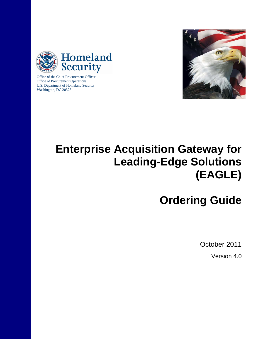



Office of the Chief Procurement Officer Office of Procurement Operations U.S. Department of Homeland Security Washington, DC 20528

# **Enterprise Acquisition Gateway for Leading-Edge Solutions (EAGLE)**

# **Ordering Guide**

October 2011

Version 4.0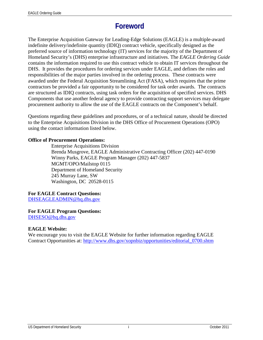# **Foreword**

The Enterprise Acquisition Gateway for Leading-Edge Solutions (EAGLE) is a multiple-award indefinite delivery/indefinite quantity (IDIQ) contract vehicle, specifically designed as the preferred source of information technology (IT) services for the majority of the Department of Homeland Security's (DHS) enterprise infrastructure and initiatives. The *EAGLE Ordering Guide* contains the information required to use this contract vehicle to obtain IT services throughout the DHS. It provides the procedures for ordering services under EAGLE, and defines the roles and responsibilities of the major parties involved in the ordering process. These contracts were awarded under the Federal Acquisition Streamlining Act (FASA), which requires that the prime contractors be provided a fair opportunity to be considered for task order awards. The contracts are structured as IDIQ contracts, using task orders for the acquisition of specified services. DHS Components that use another federal agency to provide contracting support services may delegate procurement authority to allow the use of the EAGLE contracts on the Component's behalf.

Questions regarding these guidelines and procedures, or of a technical nature, should be directed to the Enterprise Acquisitions Division in the DHS Office of Procurement Operations (OPO) using the contact information listed below.

#### **Office of Procurement Operations:**

Enterprise Acquisitions Division Brenda Musgrove, EAGLE Administrative Contracting Officer (202) 447-0190 Winny Parks, EAGLE Program Manager (202) 447-5837 MGMT/OPO/Mailstop 0115 Department of Homeland Security 245 Murray Lane, SW Washington, DC 20528-0115

#### **For EAGLE Contract Questions:**

[DHSEAGLEADMIN@hq.dhs.gov](mailto:DHSEAGLEADMIN@hq.dhs.gov)

#### **For EAGLE Program Questions:**

DHSESO@hq.dhs.gov

#### **EAGLE Website:**

We encourage you to visit the EAGLE Website for further information regarding EAGLE Contract Opportunities at: [http://www.dhs.gov/xopnbiz/opportunities/editorial\\_0700.shtm](http://www.dhs.gov/xopnbiz/opportunities/editorial_0700.shtm)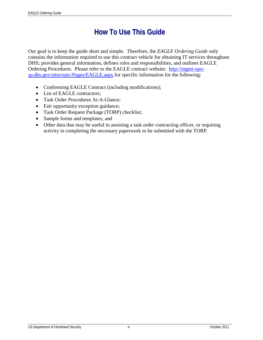# **How To Use This Guide**

Our goal is to keep the guide short and simple. Therefore, the *EAGLE Ordering Guide* only contains the information required to use this contract vehicle for obtaining IT services throughout DHS; provides general information, defines roles and responsibilities, and outlines EAGLE Ordering Procedures. Please refer to the EAGLE contract website: [http://mgmt-opo](http://mgmt-opo-sp.dhs.gov/sites/epic/Pages/EAGLE.aspx)[sp.dhs.gov/sites/epic/Pages/EAGLE.aspx.](http://mgmt-opo-sp.dhs.gov/sites/epic/Pages/EAGLE.aspx)for specific information for the following:

- Conforming EAGLE Contract (including modifications);
- List of EAGLE contractors;
- Task Order Procedures At-A-Glance:
- Fair opportunity exception guidance;
- Task Order Request Package (TORP) checklist;
- Sample forms and templates; and
- Other data that may be useful in assisting a task order contracting officer, or requiring activity in completing the necessary paperwork to be submitted with the TORP.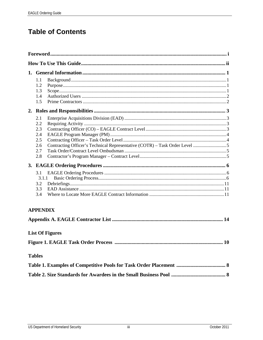# **Table of Contents**

|  | 1.1<br>1.2<br>1.3<br>1.4<br>1.5                      |                        |  |  |  |  |
|--|------------------------------------------------------|------------------------|--|--|--|--|
|  |                                                      |                        |  |  |  |  |
|  | 2.1<br>2.2<br>2.3<br>2.4<br>2.5<br>2.6<br>2.7<br>2.8 |                        |  |  |  |  |
|  |                                                      |                        |  |  |  |  |
|  | 3.1<br>3.1.1<br>3.2<br>3.3<br>3.4                    |                        |  |  |  |  |
|  | <b>APPENDIX</b>                                      |                        |  |  |  |  |
|  |                                                      |                        |  |  |  |  |
|  |                                                      | <b>List Of Figures</b> |  |  |  |  |
|  |                                                      | <b>10</b>              |  |  |  |  |
|  | <b>Tables</b>                                        |                        |  |  |  |  |
|  |                                                      |                        |  |  |  |  |
|  |                                                      |                        |  |  |  |  |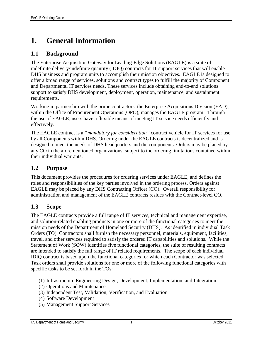# **1. General Information**

## **1.1 Background**

The Enterprise Acquisition Gateway for Leading-Edge Solutions (EAGLE) is a suite of indefinite delivery/indefinite quantity (IDIQ) contracts for IT support services that will enable DHS business and program units to accomplish their mission objectives. EAGLE is designed to offer a broad range of services, solutions and contract types to fulfill the majority of Component and Departmental IT services needs. These services include obtaining end-to-end solutions support to satisfy DHS development, deployment, operation, maintenance, and sustainment requirements.

Working in partnership with the prime contractors, the Enterprise Acquisitions Division (EAD), within the Office of Procurement Operations (OPO), manages the EAGLE program. Through the use of EAGLE, users have a flexible means of meeting IT service needs efficiently and effectively.

The EAGLE contract is a *"mandatory for consideration"* contract vehicle for IT services for use by all Components within DHS. Ordering under the EAGLE contracts is decentralized and is designed to meet the needs of DHS headquarters and the components. Orders may be placed by any CO in the aforementioned organizations, subject to the ordering limitations contained within their individual warrants.

#### **1.2 Purpose**

This document provides the procedures for ordering services under EAGLE, and defines the roles and responsibilities of the key parties involved in the ordering process. Orders against EAGLE may be placed by any DHS Contracting Officer (CO). Overall responsibility for administration and management of the EAGLE contracts resides with the Contract-level CO.

### **1.3 Scope**

The EAGLE contracts provide a full range of IT services, technical and management expertise, and solution-related enabling products in one or more of the functional categories to meet the mission needs of the Department of Homeland Security (DHS). As identified in individual Task Orders (TO), Contractors shall furnish the necessary personnel, materials, equipment, facilities, travel, and other services required to satisfy the ordered IT capabilities and solutions. While the Statement of Work (SOW) identifies five functional categories, the suite of resulting contracts are intended to satisfy the full range of IT related requirements. The scope of each individual IDIQ contract is based upon the functional categories for which each Contractor was selected. Task orders shall provide solutions for one or more of the following functional categories with specific tasks to be set forth in the TOs:

- (1) Infrastructure Engineering Design, Development, Implementation, and Integration
- (2) Operations and Maintenance
- (3) Independent Test, Validation, Verification, and Evaluation
- (4) Software Development
- (5) Management Support Services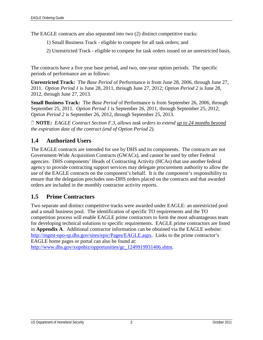The EAGLE contracts are also separated into two (2) distinct competitive tracks:

- 1) Small Business Track eligible to compete for all task orders; and
- 2) Unrestricted Track eligible to compete for task orders issued on an unrestricted basis.

The contracts have a five year base period, and two, one-year option periods. The specific periods of performance are as follows:

**Unrestricted Track:** The *Base Period* of Performance is from June 28, 2006, through June 27, 2011. *Option Period 1* is June 28, 2011, through June 27, 2012; *Option Period 2* is June 28, 2012, through June 27, 2013.

**Small Business Track:** The *Base Period* of Performance is from September 26, 2006, through September 25, 2011*. Option Period 1* is September 26, 2011, through September 25, 2012; *Option Period 2* is September 26, 2012, through September 25, 2013.

 **NOTE:** *EAGLE Contract Section F.3, allows task orders to extend up to 24 months beyond the expiration date of the contract (end of Option Period 2).*

# **1.4 Authorized Users**

The EAGLE contracts are intended for use by DHS and its components. The contracts are not Government-Wide Acquisition Contracts (GWACs), and cannot be used by other Federal agencies. DHS components' Heads of Contracting Activity (HCAs) that use another federal agency to provide contracting support services may delegate procurement authority to allow the use of the EAGLE contracts on the component's behalf. It is the component's responsibility to ensure that the delegation precludes non-DHS orders placed on the contracts and that awarded orders are included in the monthly contractor activity reports.

# **1.5 Prime Contractors**

Two separate and distinct competitive tracks were awarded under EAGLE: an unrestricted pool and a small business pool. The identification of specific TO requirements and the TO competition process will enable EAGLE prime contractors to form the most advantageous team for developing technical solutions to specific requirements. EAGLE prime contractors are listed in **Appendix A**. Additional contractor information can be obtained via the EAGLE website: [http://mgmt-opo-sp.dhs.gov/sites/epic/Pages/EAGLE.aspx.](http://mgmt-opo-sp.dhs.gov/sites/epic/Pages/EAGLE.aspx) Links to the prime contractor's EAGLE home pages or portal can also be found at:

[http://www.dhs.gov/xopnbiz/opportunities/gc\\_1249919931406.shtm.](http://www.dhs.gov/xopnbiz/opportunities/gc_1249919931406.shtm)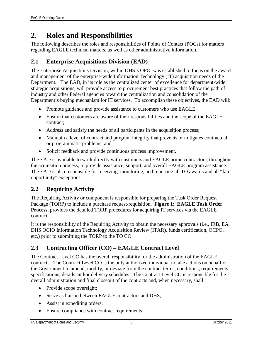# **2. Roles and Responsibilities**

The following describes the roles and responsibilities of Points of Contact (POCs) for matters regarding EAGLE technical matters, as well as other administrative information.

# **2.1 Enterprise Acquisitions Division (EAD)**

The Enterprise Acquisitions Division, within DHS's OPO, was established to focus on the award and management of the enterprise-wide Information Technology (IT) acquisition needs of the Department. The EAD, in its role as the centralized center of excellence for department-wide strategic acquisitions, will provide access to procurement best practices that follow the path of industry and other Federal agencies toward the centralization and consolidation of the Department's buying mechanism for IT services. To accomplish these objectives, the EAD will:

- Promote guidance and provide assistance to customers who use EAGLE;
- Ensure that customers are aware of their responsibilities and the scope of the EAGLE contract;
- Address and satisfy the needs of all participants in the acquisition process;
- Maintain a level of contract and program integrity that prevents or mitigates contractual or programmatic problems; and
- Solicit feedback and provide continuous process improvement.

The EAD is available to work directly with customers and EAGLE prime contractors, throughout the acquisition process, to provide assistance, support, and overall EAGLE program assistance. The EAD is also responsible for receiving, monitoring, and reporting all TO awards and all "fair opportunity" exceptions.

### **2.2 Requiring Activity**

The Requiring Activity or component is responsible for preparing the Task Order Request Package (TORP) to include a purchase request/requisition. **Figure 1: EAGLE Task Order Process**, provides the detailed TORP procedures for acquiring IT services via the EAGLE contract.

It is the responsibility of the Requiring Activity to obtain the necessary approvals (i.e., IRB, EA, DHS OCIO Information Technology Acquisition Review (ITAR), funds certification, OCPO, etc.) prior to submitting the TORP to the TO CO.

# **2.3 Contracting Officer (CO) – EAGLE Contract Level**

The Contract Level CO has the overall responsibility for the administration of the EAGLE contracts. The Contract Level CO is the only authorized individual to take actions on behalf of the Government to amend, modify, or deviate from the contract terms, conditions, requirements specifications, details and/or delivery schedules. The Contract Level CO is responsible for the overall administration and final closeout of the contracts and, when necessary, shall:

- Provide scope oversight;
- Serve as liaison between EAGLE contractors and DHS;
- Assist in expediting orders;
- Ensure compliance with contract requirements;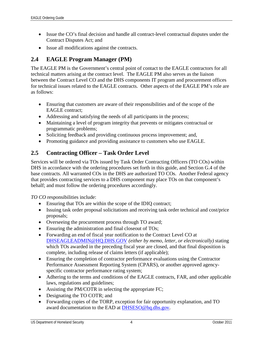- Issue the CO's final decision and handle all contract-level contractual disputes under the Contract Disputes Act; and
- Issue all modifications against the contracts.

## **2.4 EAGLE Program Manager (PM)**

The EAGLE PM is the Government's central point of contact to the EAGLE contractors for all technical matters arising at the contract level. The EAGLE PM also serves as the liaison between the Contract Level CO and the DHS components IT program and procurement offices for technical issues related to the EAGLE contracts. Other aspects of the EAGLE PM's role are as follows:

- Ensuring that customers are aware of their responsibilities and of the scope of the EAGLE contract;
- Addressing and satisfying the needs of all participants in the process;
- Maintaining a level of program integrity that prevents or mitigates contractual or programmatic problems;
- Soliciting feedback and providing continuous process improvement; and,
- Promoting guidance and providing assistance to customers who use EAGLE.

## **2.5 Contracting Officer – Task Order Level**

Services will be ordered via TOs issued by Task Order Contracting Officers (TO COs) within DHS in accordance with the ordering procedures set forth in this guide, and Section G.4 of the base contracts. All warranted COs in the DHS are authorized TO COs. Another Federal agency that provides contracting services to a DHS component may place TOs on that component's behalf; and must follow the ordering procedures accordingly.

*TO CO* responsibilities include:

- Ensuring that TOs are within the scope of the IDIQ contract;
- Issuing task order proposal solicitations and receiving task order technical and cost/price proposals;
- Overseeing the procurement process through TO award;
- Ensuring the administration and final closeout of TOs;
- Forwarding an end of fiscal year notification to the Contract Level CO at [DHSEAGLEADMIN@HQ.DHS.GOV](mailto:DHSEAGLEADMIN@HQ.DHS.GOV) *(either by memo, letter, or electronically)* stating which TOs awarded in the preceding fiscal year are closed, and that final disposition is complete, including release of claims letters (if applicable);
- Ensuring the completion of contractor performance evaluations using the Contractor Performance Assessment Reporting System (CPARS), or another approved agencyspecific contractor performance rating system;
- Adhering to the terms and conditions of the EAGLE contracts, FAR, and other applicable laws, regulations and guidelines;
- Assisting the PM/COTR in selecting the appropriate FC;
- Designating the TO COTR; and
- Forwarding copies of the TORP, exception for fair opportunity explanation, and TO award documentation to the EAD at [DHSESO@hq.dhs.gov.](mailto:DHSESO@hq.dhs.gov)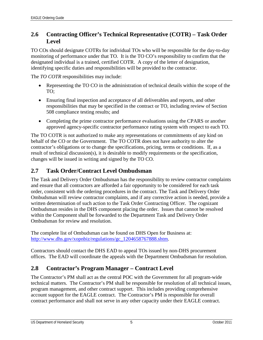# **2.6 Contracting Officer's Technical Representative (COTR) – Task Order Level**

TO COs should designate COTRs for individual TOs who will be responsible for the day-to-day monitoring of performance under that TO. It is the TO CO's responsibility to confirm that the designated individual is a trained, certified COTR. A copy of the letter of designation, identifying specific duties and responsibilities will be provided to the contractor.

The *TO COTR* responsibilities may include:

- Representing the TO CO in the administration of technical details within the scope of the TO;
- Ensuring final inspection and acceptance of all deliverables and reports, and other responsibilities that may be specified in the contract or TO, including review of Section 508 compliance testing results; and
- Completing the prime contractor performance evaluations using the CPARS or another approved agency-specific contractor performance rating system with respect to each TO.

The TO COTR is not authorized to make any representations or commitments of any kind on behalf of the CO or the Government. The TO COTR does not have authority to alter the contractor's obligations or to change the specifications, pricing, terms or conditions. If, as a result of technical discussion(s), it is desirable to modify requirements or the specification, changes will be issued in writing and signed by the TO CO.

# **2.7 Task Order/Contract Level Ombudsman**

The Task and Delivery Order Ombudsman has the responsibility to review contractor complaints and ensure that all contractors are afforded a fair opportunity to be considered for each task order, consistent with the ordering procedures in the contract. The Task and Delivery Order Ombudsman will review contractor complaints, and if any corrective action is needed, provide a written determination of such action to the Task Order Contracting Officer. The cognizant Ombudsman resides in the DHS component placing the order. Issues that cannot be resolved within the Component shall be forwarded to the Department Task and Delivery Order Ombudsman for review and resolution.

The complete list of Ombudsman can be found on DHS Open for Business at: [http://www.dhs.gov/xopnbiz/regulations/gc\\_1204658767888.shtm.](http://www.dhs.gov/xopnbiz/regulations/gc_1204658767888.shtm)

Contractors should contact the DHS EAD to appeal TOs issued by non-DHS procurement offices. The EAD will coordinate the appeals with the Department Ombudsman for resolution.

### **2.8 Contractor's Program Manager – Contract Level**

The Contractor's PM shall act as the central POC with the Government for all program-wide technical matters. The Contractor's PM shall be responsible for resolution of all technical issues, program management, and other contract support. This includes providing comprehensive account support for the EAGLE contract. The Contractor's PM is responsible for overall contract performance and shall not serve in any other capacity under their EAGLE contract.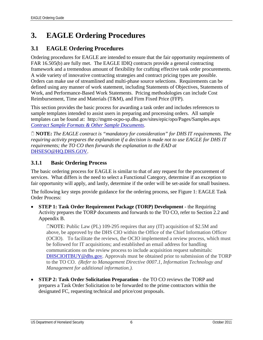# **3. EAGLE Ordering Procedures**

### **3.1 EAGLE Ordering Procedures**

Ordering procedures for EAGLE are intended to ensure that the fair opportunity requirements of FAR 16.505(b) are fully met. The EAGLE IDIQ contracts provide a general contracting framework and a tremendous amount of flexibility for crafting effective task order procurements. A wide variety of innovative contracting strategies and contract pricing types are possible. Orders can make use of streamlined and multi-phase source selections. Requirements can be defined using any manner of work statement, including Statements of Objectives, Statements of Work, and Performance-Based Work Statements. Pricing methodologies can include Cost Reimbursement, Time and Materials (T&M), and Firm Fixed Price (FFP).

This section provides the basic process for awarding a task order and includes references to sample templates intended to assist users in preparing and processing orders. All sample templates can be found at: http://mgmt-ocpo-sp.dhs.gov/sites/epic/opo/Pages/Samples.aspx *[Contract Sample Formats & Other Sample Documents](http://mgmt-ocpo-sp.dhs.gov/sites/epic/opo/Pages/Samples.aspx)*.

 **NOTE:** *The EAGLE contract is "mandatory for consideration" for DHS IT requirements. The requiring activity prepares the explanation if a decision is made not to use EAGLE for DHS IT requirements; the TO CO then forwards the explanation to the EAD at* [DHSESO@HQ.DHS.GOV.](mailto:DHSESO@HQ.DHS.GOV)

#### **3.1.1 Basic Ordering Process**

The basic ordering process for EAGLE is similar to that of any request for the procurement of services. What differs is the need to select a Functional Category, determine if an exception to fair opportunity will apply, and lastly, determine if the order will be set-aside for small business.

The following key steps provide guidance for the ordering process, see Figure 1: EAGLE Task Order Process:

• **STEP 1: Task Order Requirement Package (TORP) Development** - the Requiring Activity prepares the TORP documents and forwards to the TO CO, refer to Section 2.2 and Appendix B.

NOTE: Public Law (PL) 109-295 requires that any (IT) acquisition of \$2.5M and above, be approved by the DHS CIO within the Office of the Chief Information Officer (OCIO). To facilitate the reviews, the OCIO implemented a review process, which must be followed for IT acquisitions; and established an email address for handling communications on the review process to include acquisition request submittals: [DHSCIOITBUY@dhs.gov.](mailto:DHSCIOITBUY@dhs.gov) Approvals must be obtained prior to submission of the TORP to the TO CO. *(Refer to Management Directive 0007.1, Information Technology and Management for additional information.).* 

• **STEP 2: Task Order Solicitation Preparation** - the TO CO reviews the TORP and prepares a Task Order Solicitation to be forwarded to the prime contractors within the designated FC, requesting technical and price/cost proposals.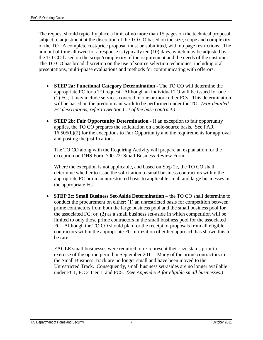The request should typically place a limit of no more than 15 pages on the technical proposal, subject to adjustment at the discretion of the TO CO based on the size, scope and complexity of the TO. A complete cost/price proposal must be submitted, with no page restrictions. The amount of time allowed for a response is typically ten (10) days, which may be adjusted by the TO CO based on the scope/complexity of the requirement and the needs of the customer. The TO CO has broad discretion on the use of source selection techniques, including oral presentations, multi-phase evaluations and methods for communicating with offerors.

- **STEP 2a: Functional Category Determination**  The TO CO will determine the appropriate FC for a TO request. Although an individual TO will be issued for one (1) FC, it may include services covered in one or more other FCs. This determination will be based on the predominant work to be performed under the TO. *(For detailed FC descriptions, refer to Section C.2 of the base contract.)*
- **STEP 2b: Fair Opportunity Determination** If an exception to fair opportunity applies, the TO CO prepares the solicitation on a sole-source basis. See FAR 16.505(b)(2) for the exceptions to Fair Opportunity and the requirements for approval and posting the justifications.

The TO CO along with the Requiring Activity will prepare an explanation for the exception on DHS Form 700-22: Small Business Review Form.

Where the exception is not applicable, and based on Step 2c, the TO CO shall determine whether to issue the solicitation to small business contractors within the appropriate FC or on an unrestricted basis to applicable small and large businesses in the appropriate FC.

• **STEP 2c: Small Business Set-Aside Determination** – the TO CO shall determine to conduct the procurement on either: (1) an unrestricted basis for competition between prime contractors from both the large business pool and the small business pool for the associated FC; or, (2) as a small business set-aside in which competition will be limited to only those prime contractors in the small business pool for the associated FC. Although the TO CO should plan for the receipt of proposals from all eligible contractors within the appropriate FC, utilization of either approach has shown this to be rare.

EAGLE small businesses were required to re-represent their size status prior to exercise of the option period in September 2011. Many of the prime contractors in the Small Business Track are no longer small and have been moved to the Unrestricted Track. Consequently, small business set-asides are no longer available under FC1, FC 2 Tier 1, and FC5. *(See Appendix A for eligible small businesses.)*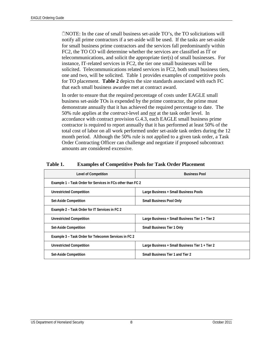NOTE: In the case of small business set-aside TO's, the TO solicitations will notify all prime contractors if a set-aside will be used. If the tasks are set-aside for small business prime contractors and the services fall predominantly within FC2, the TO CO will determine whether the services are classified as IT or telecommunications, and solicit the appropriate tier(s) of small businesses. For instance, IT-related services in FC2, the tier one small businesses will be solicited. Telecommunications related services in FC2, both small business tiers, one and two, will be solicited. Table 1 provides examples of competitive pools for TO placement. **Table 2** depicts the size standards associated with each FC that each small business awardee met at contract award.

In order to ensure that the required percentage of costs under EAGLE small business set-aside TOs is expended by the prime contractor, the prime must demonstrate annually that it has achieved the required percentage to date. The 50% rule applies at the *contract*-level and *not* at the task order level. In accordance with contract provision G.4.3, each EAGLE small business prime contractor is required to report annually that it has performed at least 50% of the total cost of labor on all work performed under set-aside task orders during the 12 month period. Although the 50% rule is not applied to a given task order, a Task Order Contracting Officer can challenge and negotiate if proposed subcontract amounts are considered excessive.

| <b>Level of Competition</b>                                | <b>Business Pool</b>                                                                 |  |  |  |  |  |
|------------------------------------------------------------|--------------------------------------------------------------------------------------|--|--|--|--|--|
| Example 1 – Task Order for Services in FCs other than FC 2 |                                                                                      |  |  |  |  |  |
| <b>Unrestricted Competition</b>                            | Large Business + Small Business Pools                                                |  |  |  |  |  |
| Set-Aside Competition                                      | <b>Small Business Pool Only</b>                                                      |  |  |  |  |  |
| Example 2 - Task Order for IT Services in FC 2             |                                                                                      |  |  |  |  |  |
| <b>Unrestricted Competition</b>                            | Large Business + Small Business Tier 1 + Tier 2<br><b>Small Business Tier 1 Only</b> |  |  |  |  |  |
| Set-Aside Competition                                      |                                                                                      |  |  |  |  |  |
| Example 3 - Task Order for Telecomm Services in FC 2       |                                                                                      |  |  |  |  |  |
| <b>Unrestricted Competition</b>                            | Large Business + Small Business Tier 1 + Tier 2                                      |  |  |  |  |  |
| Set-Aside Competition                                      | Small Business Tier 1 and Tier 2                                                     |  |  |  |  |  |

#### **Table 1. Examples of Competitive Pools for Task Order Placement**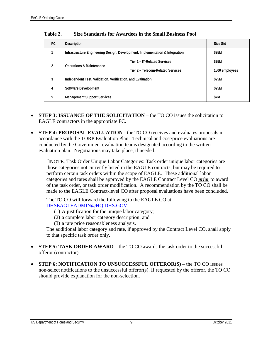| FC. | Description                                                                  | Size Std                          |                |  |
|-----|------------------------------------------------------------------------------|-----------------------------------|----------------|--|
|     | Infrastructure Engineering Design, Development, Implementation & Integration | \$25M                             |                |  |
| 2   |                                                                              | Tier 1 - IT-Related Services      | \$25M          |  |
|     | <b>Operations &amp; Maintenance</b>                                          | Tier 2 - Telecom-Related Services | 1500 employees |  |
| 3   | Independent Test, Validation, Verification, and Evaluation                   | \$25M                             |                |  |
| 4   | Software Development                                                         | \$25M                             |                |  |
| 5   | <b>Management Support Services</b>                                           | \$7M                              |                |  |

**Table 2. Size Standards for Awardees in the Small Business Pool**

- **STEP 3: ISSUANCE OF THE SOLICITATION** the TO CO issues the solicitation to EAGLE contractors in the appropriate FC.
- **STEP 4: PROPOSAL EVALUATION** the TO CO receives and evaluates proposals in accordance with the TORP Evaluation Plan. Technical and cost/price evaluations are conducted by the Government evaluation teams designated according to the written evaluation plan. Negotiations may take place, if needed.

NOTE: Task Order Unique Labor Categories: Task order unique labor categories are those categories not currently listed in the EAGLE contracts, but may be required to perform certain task orders within the scope of EAGLE. These additional labor categories and rates shall be approved by the EAGLE Contract Level CO *prior* to award of the task order, or task order modification. A recommendation by the TO CO shall be made to the EAGLE Contract-level CO after proposal evaluations have been concluded.

The TO CO will forward the following to the EAGLE CO at [DHSEAGLEADMIN@HQ.DHS.GOV:](mailto:DHSEAGLEADMIN@HQ.DHS.GOV)

- (1) A justification for the unique labor category;
- (2) a complete labor category description; and
- (3) a rate price reasonableness analysis.

The additional labor category and rate, if approved by the Contract Level CO, shall apply to that specific task order only.

- **STEP 5: TASK ORDER AWARD** the TO CO awards the task order to the successful offeror (contractor).
- **STEP 6: NOTIFICATION TO UNSUCCESSFUL OFFEROR(S)** the TO CO issues non-select notifications to the unsuccessful offeror(s). If requested by the offeror, the TO CO should provide explanation for the non-selection.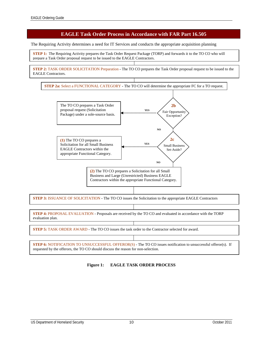#### **EAGLE Task Order Process in Accordance with FAR Part 16.505**

The Requiring Activity determines a need for IT Services and conducts the appropriate acquisition planning

**STEP 1:** The Requiring Activity prepares the Task Order Request Package (TORP) and forwards it to the TO CO who will prepare a Task Order proposal request to be issued to the EAGLE Contractors.

**STEP 2:** TASK ORDER SOLICITATION Preparation **-** The TO CO prepares the Task Order proposal request to be issued to the EAGLE Contractors.





**STEP 6:** NOTIFICATION TO UNSUCCESSFUL OFFEROR(S) - The TO CO issues notification to unsuccessful offeror(s). If requested by the offerors, the TO CO should discuss the reason for non-selection.

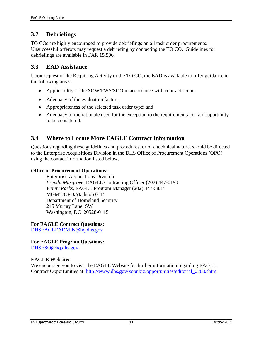## **3.2 Debriefings**

TO COs are highly encouraged to provide debriefings on all task order procurements. Unsuccessful offerors may request a debriefing by contacting the TO CO. Guidelines for debriefings are available in FAR 15.506.

#### **3.3 EAD Assistance**

Upon request of the Requiring Activity or the TO CO, the EAD is available to offer guidance in the following areas:

- Applicability of the SOW/PWS/SOO in accordance with contract scope;
- Adequacy of the evaluation factors;
- Appropriateness of the selected task order type; and
- Adequacy of the rationale used for the exception to the requirements for fair opportunity to be considered.

### **3.4 Where to Locate More EAGLE Contract Information**

Questions regarding these guidelines and procedures, or of a technical nature, should be directed to the Enterprise Acquisitions Division in the DHS Office of Procurement Operations (OPO) using the contact information listed below.

#### **Office of Procurement Operations:**

Enterprise Acquisitions Division *Brenda Musgrove,* EAGLE Contracting Officer (202) 447-0190 *Winny Parks,* EAGLE Program Manager (202) 447-5837 MGMT/OPO/Mailstop 0115 Department of Homeland Security 245 Murray Lane, SW Washington, DC 20528-0115

**For EAGLE Contract Questions:**

[DHSEAGLEADMIN@hq.dhs.gov](mailto:DHSEAGLEADMIN@hq.dhs.gov)

#### **For EAGLE Program Questions:**

DHSESO@hq.dhs.gov

#### **EAGLE Website:**

We encourage you to visit the EAGLE Website for further information regarding EAGLE Contract Opportunities at: [http://www.dhs.gov/xopnbiz/opportunities/editorial\\_0700.shtm](http://www.dhs.gov/xopnbiz/opportunities/editorial_0700.shtm)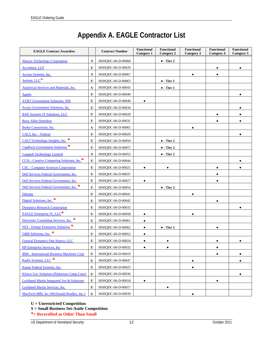# **Appendix A. EAGLE Contractor List**

| <b>EAGLE Contract Awardees</b>                        |              | <b>Contract Number</b> | <b>Functional</b><br>Category 1 | <b>Functional</b><br>Category 2 | <b>Functional</b><br>Category 3 | <b>Functional</b><br>Category 4 | <b>Functional</b><br>Category 5 |
|-------------------------------------------------------|--------------|------------------------|---------------------------------|---------------------------------|---------------------------------|---------------------------------|---------------------------------|
| <b>Abacus Technology Corporation</b>                  | S            | HSHQDC-06-D-00068      |                                 | $\bullet$ - Tier 2              |                                 |                                 |                                 |
| <b>Accenture</b> , LLP                                | U            | HSHQDC-06-D-00029      |                                 |                                 |                                 | $\bullet$                       | $\bullet$                       |
| Access Systems, Inc.                                  | S            | HSHQDC-06-D-00067      |                                 |                                 | $\bullet$                       | $\bullet$                       |                                 |
| Aerient, LLC*                                         | U            | HSHQDC-06-D-00063      |                                 | $\bullet$ - Tier 1              |                                 |                                 |                                 |
| <b>Analytical Services and Materials, Inc.</b>        | S            | HSHQDC-06-D-00043      |                                 | $\bullet$ - Tier 1              |                                 |                                 |                                 |
| <b>Apptis</b>                                         | U            | HSHQDC-06-D-00049      |                                 |                                 |                                 |                                 | $\bullet$                       |
| <b>AT&amp;T Government Solutions, NIS</b>             | U            | HSHQDC-06-D-00040      | $\bullet$                       |                                 |                                 |                                 |                                 |
| Avaya Government Solutions, Inc.                      | U            | HSHQDC-06-D-00034      |                                 |                                 |                                 |                                 |                                 |
| <b>BAE Systems IT Solutions, LLC</b>                  | $\mathbf U$  | HSHQDC-06-D-00028      |                                 |                                 |                                 | $\bullet$                       | $\bullet$                       |
| <b>Booz Allen Hamilton</b>                            | U            | HSHQDC-06-D-00031      |                                 |                                 |                                 | $\bullet$                       |                                 |
| Burke Consortium, Inc.                                | S            | HSHQDC-06-D-00065      |                                 |                                 | $\bullet$                       |                                 |                                 |
| CACI, Inc. - Federal                                  | U            | HSHQDC-06-D-00020      |                                 |                                 |                                 |                                 |                                 |
| CACI Technology Insights, Inc. *                      | U            | HSHODC-06-D-00050      |                                 | $\bullet$ - Tier 2              |                                 |                                 |                                 |
| CapRock Government Solutions <sup>*</sup>             | U            | HSHQDC-06-D-00057      |                                 | $\bullet$ - Tier 2              |                                 |                                 |                                 |
| <b>Catapult Technology Limited</b>                    | S            | HSHODC-06-D-00053      |                                 | $\bullet$ - Tier 2              |                                 |                                 |                                 |
| CCSi - Creative Computing Solutions, Inc.*            | U            | HSHQDC-06-D-00044      |                                 |                                 |                                 |                                 | ٠                               |
| <b>CSC</b> - Computer Sciences Corporation            | $\mathbf{U}$ | HSHQDC-06-D-00021      | $\bullet$                       | $\bullet$                       |                                 | $\bullet$                       |                                 |
| Dell Services Federal Government, Inc.                | $\mathbf{U}$ | HSHQDC-06-D-00037      |                                 |                                 |                                 | $\bullet$                       |                                 |
| Dell Services Federal Government, Inc.                | U            | HSHQDC-06-D-00027      | $\bullet$                       |                                 |                                 | $\bullet$                       |                                 |
| Dell Services Federal Government, Inc. <sup>*</sup>   | U            | HSHQDC-06-D-00054      |                                 | $\bullet$ - Tier 2              |                                 |                                 |                                 |
| Deloitte                                              | $\mathbf U$  | HSHQDC-06-D-00041      |                                 |                                 | $\bullet$                       |                                 |                                 |
| Digital Solutions, Inc. *                             | U            | HSHQDC-06-D-00042      |                                 |                                 |                                 | $\bullet$                       |                                 |
| <b>Dynamics Research Corporation</b>                  | U            | HSHQDC-06-D-00033      |                                 |                                 |                                 |                                 | ٠                               |
| <b>EAGLE Enterprise JV, LLC*</b>                      | U            | HSHQDC-06-D-00058      | $\bullet$                       |                                 |                                 |                                 |                                 |
| Electronic Consulting Services, Inc.                  | U            | HSHQDC-06-D-00061      | $\bullet$                       |                                 |                                 |                                 |                                 |
| <b>EES</b> - Energy Enterprise Solutions <sup>*</sup> | U            | HSHQDC-06-D-00062      | $\bullet$                       | $\bullet$ - Tier 1              |                                 | $\bullet$                       |                                 |
| G&B Solutions, Inc. *                                 | $\mathbf U$  | HSHQDC-06-D-00052      | $\bullet$                       |                                 |                                 |                                 |                                 |
| General Dynamics One Source, LLC                      | U            | HSHQDC-06-D-00024      | $\bullet$                       | $\bullet$                       |                                 | $\bullet$                       | ٠                               |
| <b>HP Enterprise Services</b> , Inc                   | $\mathbf{U}$ | HSHQDC-06-D-00032      | $\bullet$                       | $\bullet$                       |                                 | $\bullet$                       |                                 |
| <b>IBM</b> - International Business Machines Corp     | U            | HSHODC-06-D-00019      |                                 |                                 |                                 | $\bullet$                       | $\bullet$                       |
| Kadix Systems, LLC <sup>*</sup>                       | U            | HSHQDC-06-D-00047      |                                 |                                 | $\bullet$                       |                                 | ٠                               |
| Keane Federal Systems, Inc.                           | U            | HSHODC-06-D-00025      |                                 |                                 | $\bullet$                       |                                 |                                 |
| <b>Kforce Gov Solutions (Pinkerton Comp Cons)</b>     | U            | HSHQDC-06-D-00036      |                                 |                                 |                                 |                                 | $\bullet$                       |
| Lockheed Martin Integrated Sys & Solutions            | $\mathbf{U}$ | HSHQDC-06-D-00018      | $\bullet$                       |                                 |                                 | $\bullet$                       |                                 |
| Lockheed Martin Services, Inc.                        | U            | HSHODC-06-D-00017      |                                 | $\bullet$                       |                                 |                                 |                                 |
| ManTech MBI, Inc (McDonald Bradley, Inc.)             | U            | HSHQDC-06-D-00039      |                                 |                                 | $\bullet$                       |                                 |                                 |

#### **U = Unrestricted Competition**

**S = Small Business Set-Aside Competition**

**\*= Recertified as Other Than Small**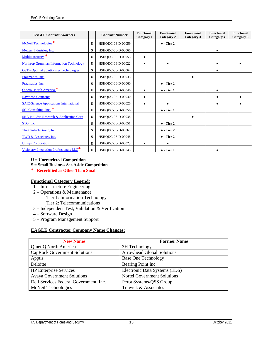| <b>EAGLE Contract Awardees</b>                       |              | <b>Contract Number</b> | <b>Functional</b><br><b>Category 1</b> | <b>Functional</b><br><b>Category 2</b> | <b>Functional</b><br>Category 3 | <b>Functional</b><br>Category 4 | <b>Functional</b><br>Category 5 |
|------------------------------------------------------|--------------|------------------------|----------------------------------------|----------------------------------------|---------------------------------|---------------------------------|---------------------------------|
| McNeil Technologies <sup>*</sup>                     | U            | HSHQDC-06-D-00059      |                                        | $\bullet$ - Tier 2                     |                                 |                                 |                                 |
| Metters Industries, Inc.                             | S            | HSHQDC-06-D-00066      |                                        |                                        |                                 | $\bullet$                       |                                 |
| MultimaxArray *                                      | U            | HSHQDC-06-D-00055      | $\bullet$                              |                                        |                                 |                                 |                                 |
| <b>Northrop Grumman Information Technology</b>       | U            | HSHQDC-06-D-00022      |                                        |                                        |                                 |                                 |                                 |
| <b>OST</b> - Optimal Solutions & Technologies        | S            | HSHQDC-06-D-00064      |                                        |                                        |                                 |                                 |                                 |
| Pragmatics, Inc.                                     | $\mathbf{U}$ | HSHQDC-06-D-00035      |                                        |                                        |                                 |                                 |                                 |
| Pragmatics, Inc.                                     | S            | HSHQDC-06-D-00060      |                                        | $\bullet$ - Tier 2                     |                                 |                                 |                                 |
| QinetiQ North America <sup>*</sup>                   | U            | HSHQDC-06-D-00046      |                                        | $\bullet$ - Tier 1                     |                                 |                                 |                                 |
| <b>Raytheon Company</b>                              | $\mathbf{U}$ | HSHQDC-06-D-00030      |                                        |                                        |                                 |                                 |                                 |
| <b>SAIC-Science Applications International</b>       | $\mathbf{U}$ | HSHQDC-06-D-00026      |                                        |                                        |                                 |                                 |                                 |
| SCI Consulting, Inc.                                 | U            | HSHODC-06-D-00056      |                                        | $\bullet$ - Tier 1                     |                                 |                                 |                                 |
| SRA Int,- Sys Research & Application Corp.           | $\mathbf{U}$ | HSHODC-06-D-00038      |                                        |                                        |                                 |                                 |                                 |
| STG, Inc.                                            | S            | HSHQDC-06-D-00051      |                                        | $\bullet$ - Tier 2                     |                                 |                                 |                                 |
| The Centech Group, Inc.                              | S            | HSHQDC-06-D-00069      |                                        | $\bullet$ - Tier 2                     |                                 |                                 |                                 |
| TWD & Associates, Inc.                               | S            | HSHQDC-06-D-00048      |                                        | $\bullet$ - Tier 2                     |                                 |                                 |                                 |
| <b>Unisys Corporation</b>                            | U            | HSHQDC-06-D-00023      |                                        |                                        |                                 |                                 |                                 |
| Visionary Integration Professionals LLC <sup>*</sup> | U            | HSHQDC-06-D-00045      |                                        | $\bullet$ - Tier 1                     |                                 |                                 |                                 |

- **U = Unrestricted Competition**
- **S = Small Business Set-Aside Competition**
- **\*= Recertified as Other Than Small**

#### **Functional Category Legend:**

- 1 Infrastructure Engineering
- 2 Operations & Maintenance
	- Tier 1: Information Technology
		- Tier 2: Telecommunications
- 3 Independent Test, Validation & Verification
- 4 Software Design
- 5 Program Management Support

#### **EAGLE Contractor Company Name Changes:**

| <b>New Name</b>                        | <b>Former Name</b>                 |
|----------------------------------------|------------------------------------|
| QinetiQ North America                  | 3H Technology                      |
| <b>CapRock Government Solutions</b>    | <b>Arrowhead Global Solutions</b>  |
| Apptis                                 | <b>Base One Technology</b>         |
| Deloitte                               | Bearing Point Inc.                 |
| <b>HP</b> Enterprise Services          | Electronic Data Systems (EDS)      |
| <b>Avaya Government Solutions</b>      | <b>Nortel Government Solutions</b> |
| Dell Services Federal Government, Inc. | Perot Systems/QSS Group            |
| McNeil Technologies                    | Trawick & Associates               |